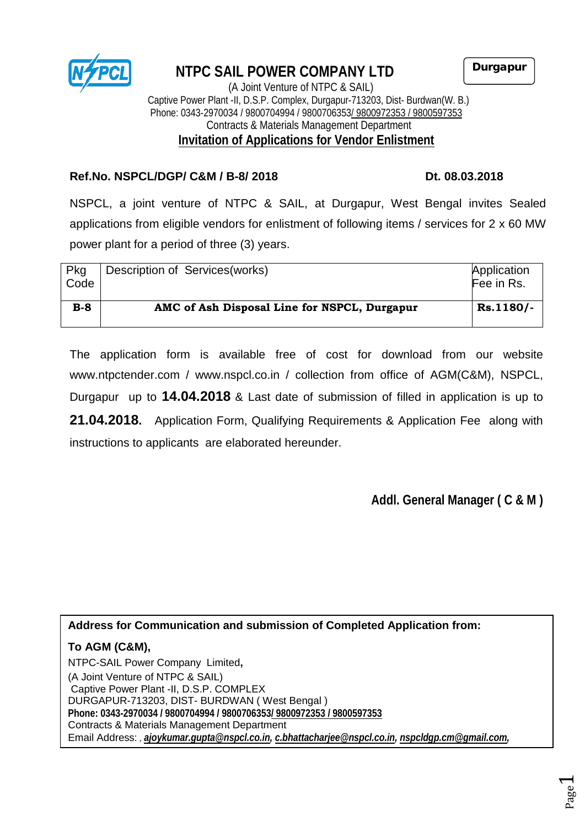

# **NTPC SAIL POWER COMPANY LTD**

Durgapur

 (A Joint Venture of NTPC & SAIL) Captive Power Plant -II, D.S.P. Complex, Durgapur-713203, Dist- Burdwan(W. B.) Phone: 0343-2970034 / 9800704994 / 9800706353<u>/ 9800972353 / 9800597353</u> Contracts & Materials Management Department **Invitation of Applications for Vendor Enlistment**

# **Ref.No. NSPCL/DGP/ C&M / B-8/ 2018 Dt. 08.03.2018**

NSPCL, a joint venture of NTPC & SAIL, at Durgapur, West Bengal invites Sealed applications from eligible vendors for enlistment of following items / services for 2 x 60 MW power plant for a period of three (3) years.

| Pkg<br>Code | Description of Services (works)              | Application<br>Fee in Rs. |
|-------------|----------------------------------------------|---------------------------|
| $B-8$       | AMC of Ash Disposal Line for NSPCL, Durgapur | Rs.1180/-                 |

The application form is available free of cost for download from our website [www.ntpctender.com](http://www.ntpctender.com/) / www.nspcl.co.in / collection from office of AGM(C&M), NSPCL, Durgapur up to **14.04.2018** & Last date of submission of filled in application is up to **21.04.2018.** Application Form, Qualifying Requirements & Application Fee along with instructions to applicants are elaborated hereunder.

**Addl. General Manager ( C & M )** 

# **Address for Communication and submission of Completed Application from:**

# **To AGM (C&M),**

NTPC-SAIL Power Company Limited**,** (A Joint Venture of NTPC & SAIL) Captive Power Plant -II, D.S.P. COMPLEX DURGAPUR-713203, DIST- BURDWAN ( West Bengal ) **Phone: 0343-2970034 / 9800704994 / 9800706353/ 9800972353 / 9800597353** Contracts & Materials Management Department Email Address: *, [ajoykumar.gupta@nspcl.co.in,](mailto:ajoykumar.gupta@nspcl.co.in) [c.bhattacharjee@nspcl.co.in,](mailto:c.bhattacharjee@nspcl.co.in) [nspcldgp.cm@gmail.com,](mailto:nspcldgp.cm@gmail.com)*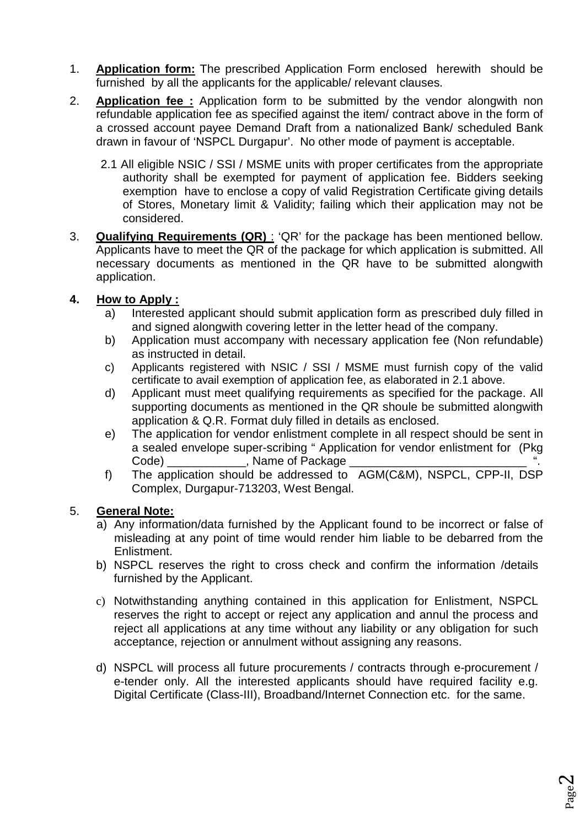- 1. **Application form:** The prescribed Application Form enclosed herewith should be furnished by all the applicants for the applicable/ relevant clauses.
- 2. **Application fee :** Application form to be submitted by the vendor alongwith non refundable application fee as specified against the item/ contract above in the form of a crossed account payee Demand Draft from a nationalized Bank/ scheduled Bank drawn in favour of 'NSPCL Durgapur'. No other mode of payment is acceptable.
	- 2.1 All eligible NSIC / SSI / MSME units with proper certificates from the appropriate authority shall be exempted for payment of application fee. Bidders seeking exemption have to enclose a copy of valid Registration Certificate giving details of Stores, Monetary limit & Validity; failing which their application may not be considered.
- 3. **Qualifying Requirements (QR)** : 'QR' for the package has been mentioned bellow. Applicants have to meet the QR of the package for which application is submitted. All necessary documents as mentioned in the QR have to be submitted alongwith application.

# **4. How to Apply :**

- a) Interested applicant should submit application form as prescribed duly filled in and signed alongwith covering letter in the letter head of the company.
- b) Application must accompany with necessary application fee (Non refundable) as instructed in detail.
- c) Applicants registered with NSIC / SSI / MSME must furnish copy of the valid certificate to avail exemption of application fee, as elaborated in 2.1 above.
- d) Applicant must meet qualifying requirements as specified for the package. All supporting documents as mentioned in the QR shoule be submitted alongwith application & Q.R. Format duly filled in details as enclosed.
- e) The application for vendor enlistment complete in all respect should be sent in a sealed envelope super-scribing " Application for vendor enlistment for (Pkg Code) \_\_\_\_\_\_\_\_\_\_\_, Name of Package \_
- f) The application should be addressed to AGM(C&M), NSPCL, CPP-II, DSP Complex, Durgapur-713203, West Bengal.

### 5. **General Note:**

- a) Any information/data furnished by the Applicant found to be incorrect or false of misleading at any point of time would render him liable to be debarred from the Enlistment.
- b) NSPCL reserves the right to cross check and confirm the information /details furnished by the Applicant.
- c) Notwithstanding anything contained in this application for Enlistment, NSPCL reserves the right to accept or reject any application and annul the process and reject all applications at any time without any liability or any obligation for such acceptance, rejection or annulment without assigning any reasons.
- d) NSPCL will process all future procurements / contracts through e-procurement / e-tender only. All the interested applicants should have required facility e.g. Digital Certificate (Class-III), Broadband/Internet Connection etc. for the same.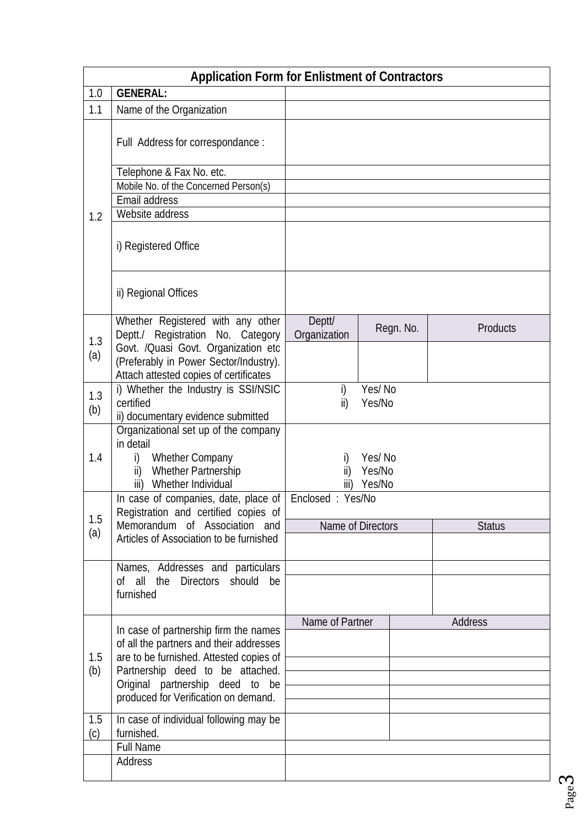|            | <b>Application Form for Enlistment of Contractors</b>                                                    |                         |                  |               |          |  |  |  |  |
|------------|----------------------------------------------------------------------------------------------------------|-------------------------|------------------|---------------|----------|--|--|--|--|
| 1.0        | <b>GENERAL:</b>                                                                                          |                         |                  |               |          |  |  |  |  |
| 1.1        | Name of the Organization                                                                                 |                         |                  |               |          |  |  |  |  |
|            | Full Address for correspondance :                                                                        |                         |                  |               |          |  |  |  |  |
|            | Telephone & Fax No. etc.                                                                                 |                         |                  |               |          |  |  |  |  |
|            | Mobile No. of the Concerned Person(s)                                                                    |                         |                  |               |          |  |  |  |  |
|            | Email address                                                                                            |                         |                  |               |          |  |  |  |  |
| 1.2        | Website address                                                                                          |                         |                  |               |          |  |  |  |  |
|            | i) Registered Office                                                                                     |                         |                  |               |          |  |  |  |  |
|            | ii) Regional Offices                                                                                     |                         |                  |               |          |  |  |  |  |
|            | Whether Registered with any other                                                                        | Deptt/                  |                  | Regn. No.     | Products |  |  |  |  |
| 1.3        | Deptt./ Registration No. Category                                                                        | Organization            |                  |               |          |  |  |  |  |
| (a)        | Govt. /Quasi Govt. Organization etc<br>(Preferably in Power Sector/Industry).                            |                         |                  |               |          |  |  |  |  |
|            | Attach attested copies of certificates                                                                   |                         |                  |               |          |  |  |  |  |
|            | i) Whether the Industry is SSI/NSIC                                                                      | Yes/No<br>i)            |                  |               |          |  |  |  |  |
| 1.3<br>(b) | certified                                                                                                | $\mathsf{ii}$<br>Yes/No |                  |               |          |  |  |  |  |
|            | ii) documentary evidence submitted                                                                       |                         |                  |               |          |  |  |  |  |
| 1.4        | Organizational set up of the company<br>in detail<br>Whether Company<br>i)<br>Whether Partnership<br>ii) | i)<br>ii)               | Yes/No<br>Yes/No |               |          |  |  |  |  |
|            | Whether Individual<br>iii)                                                                               | Yes/No<br>iii)          |                  |               |          |  |  |  |  |
| 1.5        | In case of companies, date, place of<br>Registration and certified copies of                             | Enclosed: Yes/No        |                  |               |          |  |  |  |  |
| (a)        | Memorandum of Association and                                                                            | Name of Directors       |                  | <b>Status</b> |          |  |  |  |  |
|            | Articles of Association to be furnished                                                                  |                         |                  |               |          |  |  |  |  |
|            | Names, Addresses and particulars                                                                         |                         |                  |               |          |  |  |  |  |
|            | of all the<br>Directors should<br>be                                                                     |                         |                  |               |          |  |  |  |  |
|            | furnished                                                                                                |                         |                  |               |          |  |  |  |  |
|            |                                                                                                          |                         |                  |               |          |  |  |  |  |
|            | In case of partnership firm the names                                                                    | Name of Partner         |                  |               | Address  |  |  |  |  |
|            | of all the partners and their addresses                                                                  |                         |                  |               |          |  |  |  |  |
| 1.5<br>(b) | are to be furnished. Attested copies of                                                                  |                         |                  |               |          |  |  |  |  |
|            | Partnership deed to be attached.                                                                         |                         |                  |               |          |  |  |  |  |
|            | Original partnership deed to be                                                                          |                         |                  |               |          |  |  |  |  |
|            | produced for Verification on demand.                                                                     |                         |                  |               |          |  |  |  |  |
| 1.5<br>(c) | In case of individual following may be<br>furnished.                                                     |                         |                  |               |          |  |  |  |  |
|            | <b>Full Name</b>                                                                                         |                         |                  |               |          |  |  |  |  |
|            | Address                                                                                                  |                         |                  |               |          |  |  |  |  |
|            |                                                                                                          |                         |                  |               |          |  |  |  |  |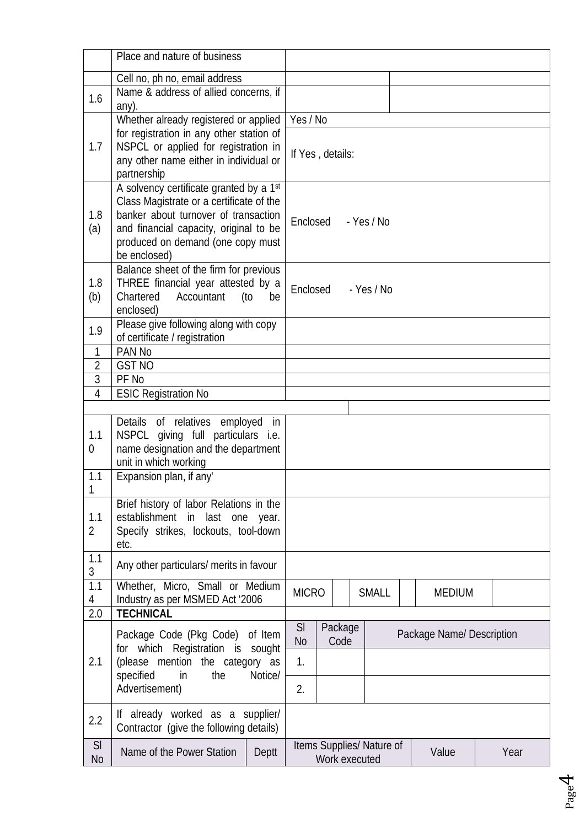|                     | Place and nature of business                                                      |           |                          |                              |  |            |  |                           |      |
|---------------------|-----------------------------------------------------------------------------------|-----------|--------------------------|------------------------------|--|------------|--|---------------------------|------|
|                     | Cell no, ph no, email address                                                     |           |                          |                              |  |            |  |                           |      |
| 1.6                 | Name & address of allied concerns, if                                             |           |                          |                              |  |            |  |                           |      |
|                     | any).                                                                             |           |                          |                              |  |            |  |                           |      |
|                     | Whether already registered or applied<br>for registration in any other station of |           | Yes / No                 |                              |  |            |  |                           |      |
| 1.7                 | NSPCL or applied for registration in                                              |           |                          |                              |  |            |  |                           |      |
|                     | any other name either in individual or                                            |           | If Yes, details:         |                              |  |            |  |                           |      |
|                     | partnership                                                                       |           |                          |                              |  |            |  |                           |      |
|                     | A solvency certificate granted by a 1st                                           |           |                          |                              |  |            |  |                           |      |
|                     | Class Magistrate or a certificate of the                                          |           |                          |                              |  |            |  |                           |      |
| 1.8                 | banker about turnover of transaction                                              |           | Enclosed<br>$-$ Yes / No |                              |  |            |  |                           |      |
| (a)                 | and financial capacity, original to be                                            |           |                          |                              |  |            |  |                           |      |
|                     | produced on demand (one copy must<br>be enclosed)                                 |           |                          |                              |  |            |  |                           |      |
|                     | Balance sheet of the firm for previous                                            |           |                          |                              |  |            |  |                           |      |
| 1.8                 | THREE financial year attested by a                                                |           |                          |                              |  |            |  |                           |      |
| (b)                 | Chartered<br>Accountant                                                           | (to<br>be | Enclosed                 |                              |  | - Yes / No |  |                           |      |
|                     | enclosed)                                                                         |           |                          |                              |  |            |  |                           |      |
| 1.9                 | Please give following along with copy                                             |           |                          |                              |  |            |  |                           |      |
|                     | of certificate / registration                                                     |           |                          |                              |  |            |  |                           |      |
| 1                   | PAN No                                                                            |           |                          |                              |  |            |  |                           |      |
| $\overline{2}$<br>3 | <b>GST NO</b><br>PF No                                                            |           |                          |                              |  |            |  |                           |      |
| $\overline{4}$      | <b>ESIC Registration No</b>                                                       |           |                          |                              |  |            |  |                           |      |
|                     |                                                                                   |           |                          |                              |  |            |  |                           |      |
|                     | Details of relatives employed                                                     | in        |                          |                              |  |            |  |                           |      |
| 1.1                 | NSPCL giving full particulars i.e.                                                |           |                          |                              |  |            |  |                           |      |
| 0                   | name designation and the department                                               |           |                          |                              |  |            |  |                           |      |
|                     | unit in which working                                                             |           |                          |                              |  |            |  |                           |      |
| 1.1                 | Expansion plan, if any'                                                           |           |                          |                              |  |            |  |                           |      |
|                     | Brief history of labor Relations in the                                           |           |                          |                              |  |            |  |                           |      |
| 1.1                 | establishment in last one year.                                                   |           |                          |                              |  |            |  |                           |      |
| $\overline{2}$      | Specify strikes, lockouts, tool-down                                              |           |                          |                              |  |            |  |                           |      |
| 1.1                 | etc.                                                                              |           |                          |                              |  |            |  |                           |      |
| 3                   | Any other particulars/ merits in favour                                           |           |                          |                              |  |            |  |                           |      |
| $\overline{1.1}$    | Whether, Micro, Small or Medium                                                   |           |                          |                              |  |            |  | <b>MEDIUM</b>             |      |
| 4                   | Industry as per MSMED Act '2006                                                   |           |                          | <b>MICRO</b><br><b>SMALL</b> |  |            |  |                           |      |
| 2.0                 | <b>TECHNICAL</b>                                                                  |           |                          |                              |  |            |  |                           |      |
|                     | Package Code (Pkg Code) of Item                                                   |           | SI<br>N <sub>0</sub>     | Package<br>Code              |  |            |  | Package Name/ Description |      |
|                     | for which Registration is sought                                                  |           |                          |                              |  |            |  |                           |      |
| 2.1                 | (please mention the category as<br>in<br>specified<br>the<br>Notice/              |           | 1.                       |                              |  |            |  |                           |      |
|                     |                                                                                   |           |                          |                              |  |            |  |                           |      |
|                     | Advertisement)                                                                    |           | 2.                       |                              |  |            |  |                           |      |
| 2.2                 | If already worked as a supplier/                                                  |           |                          |                              |  |            |  |                           |      |
|                     | Contractor (give the following details)                                           |           |                          |                              |  |            |  |                           |      |
| SI                  | Name of the Power Station                                                         | Deptt     |                          | Items Supplies/ Nature of    |  |            |  | Value                     | Year |
| N <sub>o</sub>      |                                                                                   |           |                          | Work executed                |  |            |  |                           |      |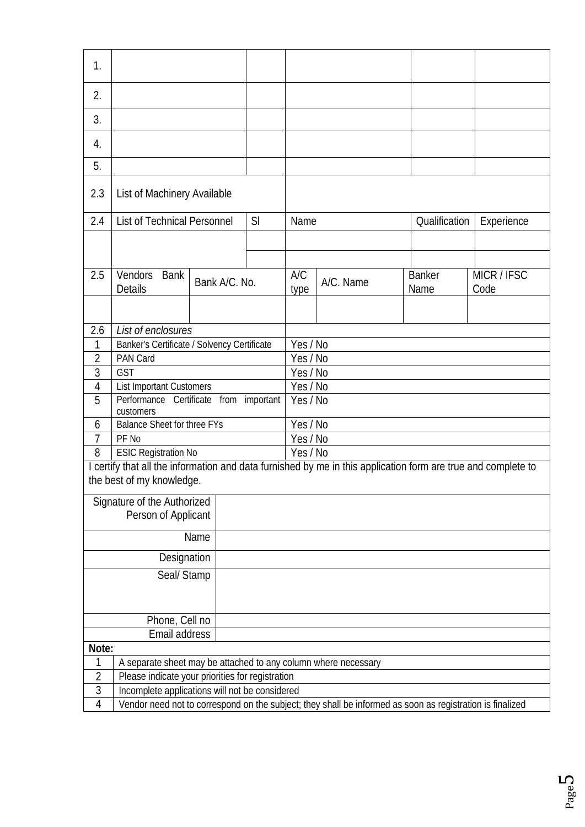| 1.                                                                  |                                                                                                           |               |    |             |           |                                                                                                               |                     |  |  |  |  |
|---------------------------------------------------------------------|-----------------------------------------------------------------------------------------------------------|---------------|----|-------------|-----------|---------------------------------------------------------------------------------------------------------------|---------------------|--|--|--|--|
| 2.                                                                  |                                                                                                           |               |    |             |           |                                                                                                               |                     |  |  |  |  |
| 3.                                                                  |                                                                                                           |               |    |             |           |                                                                                                               |                     |  |  |  |  |
| 4.                                                                  |                                                                                                           |               |    |             |           |                                                                                                               |                     |  |  |  |  |
| 5.                                                                  |                                                                                                           |               |    |             |           |                                                                                                               |                     |  |  |  |  |
| 2.3                                                                 | List of Machinery Available                                                                               |               |    |             |           |                                                                                                               |                     |  |  |  |  |
| 2.4                                                                 | List of Technical Personnel                                                                               |               | SI | Name        |           | Qualification                                                                                                 | Experience          |  |  |  |  |
|                                                                     |                                                                                                           |               |    |             |           |                                                                                                               |                     |  |  |  |  |
|                                                                     |                                                                                                           |               |    |             |           |                                                                                                               |                     |  |  |  |  |
| 2.5                                                                 | Vendors<br><b>Bank</b><br><b>Details</b>                                                                  | Bank A/C. No. |    | A/C<br>type | A/C. Name | <b>Banker</b><br>Name                                                                                         | MICR / IFSC<br>Code |  |  |  |  |
|                                                                     |                                                                                                           |               |    |             |           |                                                                                                               |                     |  |  |  |  |
| 2.6                                                                 | List of enclosures                                                                                        |               |    |             |           |                                                                                                               |                     |  |  |  |  |
| 1                                                                   |                                                                                                           |               |    | Yes / No    |           |                                                                                                               |                     |  |  |  |  |
| $\overline{2}$                                                      | Banker's Certificate / Solvency Certificate<br>PAN Card                                                   |               |    | Yes / No    |           |                                                                                                               |                     |  |  |  |  |
| 3                                                                   | GST                                                                                                       |               |    | Yes / No    |           |                                                                                                               |                     |  |  |  |  |
| 4                                                                   | <b>List Important Customers</b>                                                                           |               |    |             | Yes / No  |                                                                                                               |                     |  |  |  |  |
| 5                                                                   | Performance Certificate from important<br>customers                                                       |               |    |             | Yes / No  |                                                                                                               |                     |  |  |  |  |
| 6                                                                   | <b>Balance Sheet for three FYs</b>                                                                        |               |    | Yes / No    |           |                                                                                                               |                     |  |  |  |  |
| 7                                                                   | PF No                                                                                                     |               |    | Yes / No    |           |                                                                                                               |                     |  |  |  |  |
| 8                                                                   | <b>ESIC Registration No</b>                                                                               |               |    |             | Yes/No    |                                                                                                               |                     |  |  |  |  |
|                                                                     |                                                                                                           |               |    |             |           | I certify that all the information and data furnished by me in this application form are true and complete to |                     |  |  |  |  |
|                                                                     | the best of my knowledge.                                                                                 |               |    |             |           |                                                                                                               |                     |  |  |  |  |
|                                                                     | Signature of the Authorized                                                                               |               |    |             |           |                                                                                                               |                     |  |  |  |  |
|                                                                     | Person of Applicant                                                                                       |               |    |             |           |                                                                                                               |                     |  |  |  |  |
|                                                                     |                                                                                                           | Name          |    |             |           |                                                                                                               |                     |  |  |  |  |
|                                                                     | Designation                                                                                               |               |    |             |           |                                                                                                               |                     |  |  |  |  |
|                                                                     | Seal/ Stamp                                                                                               |               |    |             |           |                                                                                                               |                     |  |  |  |  |
|                                                                     |                                                                                                           |               |    |             |           |                                                                                                               |                     |  |  |  |  |
|                                                                     | Phone, Cell no                                                                                            |               |    |             |           |                                                                                                               |                     |  |  |  |  |
|                                                                     | Email address                                                                                             |               |    |             |           |                                                                                                               |                     |  |  |  |  |
| Note:                                                               |                                                                                                           |               |    |             |           |                                                                                                               |                     |  |  |  |  |
| A separate sheet may be attached to any column where necessary<br>1 |                                                                                                           |               |    |             |           |                                                                                                               |                     |  |  |  |  |
| $\overline{2}$<br>Please indicate your priorities for registration  |                                                                                                           |               |    |             |           |                                                                                                               |                     |  |  |  |  |
|                                                                     | 3<br>Incomplete applications will not be considered                                                       |               |    |             |           |                                                                                                               |                     |  |  |  |  |
| 4                                                                   | Vendor need not to correspond on the subject; they shall be informed as soon as registration is finalized |               |    |             |           |                                                                                                               |                     |  |  |  |  |